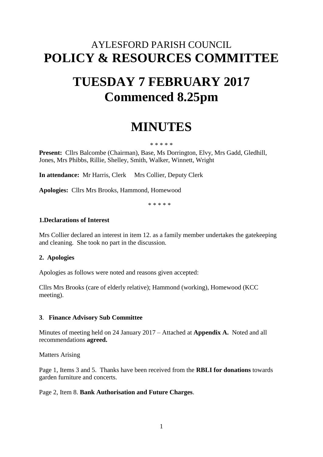# AYLESFORD PARISH COUNCIL **POLICY & RESOURCES COMMITTEE**

# **TUESDAY 7 FEBRUARY 2017 Commenced 8.25pm**

# **MINUTES**

#### \* \* \* \* \*

**Present:** Cllrs Balcombe (Chairman), Base, Ms Dorrington, Elvy, Mrs Gadd, Gledhill, Jones, Mrs Phibbs, Rillie, Shelley, Smith, Walker, Winnett, Wright

**In attendance:** Mr Harris, Clerk Mrs Collier, Deputy Clerk

**Apologies:** Cllrs Mrs Brooks, Hammond, Homewood

\* \* \* \* \*

#### **1.Declarations of Interest**

Mrs Collier declared an interest in item 12. as a family member undertakes the gatekeeping and cleaning. She took no part in the discussion.

### **2. Apologies**

Apologies as follows were noted and reasons given accepted:

Cllrs Mrs Brooks (care of elderly relative); Hammond (working), Homewood (KCC meeting).

#### **3**. **Finance Advisory Sub Committee**

Minutes of meeting held on 24 January 2017 – Attached at **Appendix A.** Noted and all recommendations **agreed.**

Matters Arising

Page 1, Items 3 and 5. Thanks have been received from the **RBLI for donations** towards garden furniture and concerts.

#### Page 2, Item 8. **Bank Authorisation and Future Charges**.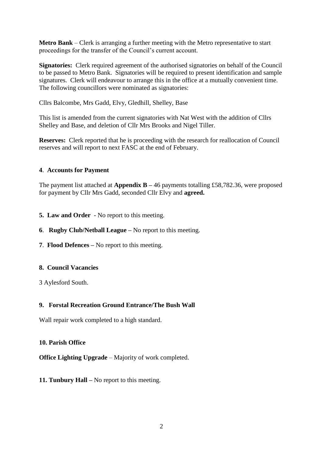**Metro Bank** – Clerk is arranging a further meeting with the Metro representative to start proceedings for the transfer of the Council's current account.

**Signatories:** Clerk required agreement of the authorised signatories on behalf of the Council to be passed to Metro Bank. Signatories will be required to present identification and sample signatures. Clerk will endeavour to arrange this in the office at a mutually convenient time. The following councillors were nominated as signatories:

Cllrs Balcombe, Mrs Gadd, Elvy, Gledhill, Shelley, Base

This list is amended from the current signatories with Nat West with the addition of Cllrs Shelley and Base, and deletion of Cllr Mrs Brooks and Nigel Tiller.

**Reserves:** Clerk reported that he is proceeding with the research for reallocation of Council reserves and will report to next FASC at the end of February.

# **4**. **Accounts for Payment**

The payment list attached at **Appendix B –** 46 payments totalling £58,782.36, were proposed for payment by Cllr Mrs Gadd, seconded Cllr Elvy and **agreed.**

- **5. Law and Order** No report to this meeting.
- **6**. **Rugby Club/Netball League –** No report to this meeting.
- **7**. **Flood Defences –** No report to this meeting.

### **8. Council Vacancies**

3 Aylesford South.

# **9. Forstal Recreation Ground Entrance/The Bush Wall**

Wall repair work completed to a high standard.

### **10. Parish Office**

**Office Lighting Upgrade** – Majority of work completed.

**11. Tunbury Hall –** No report to this meeting.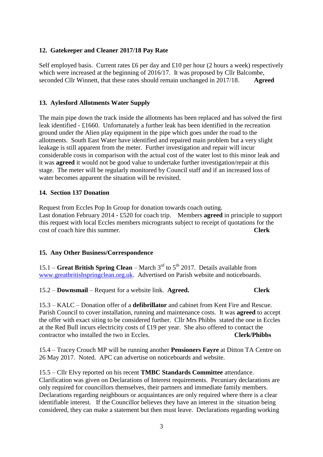# **12. Gatekeeper and Cleaner 2017/18 Pay Rate**

Self employed basis. Current rates  $\pounds 6$  per day and  $\pounds 10$  per hour (2 hours a week) respectively which were increased at the beginning of 2016/17. It was proposed by Cllr Balcombe, seconded Cllr Winnett, that these rates should remain unchanged in 2017/18. **Agreed**

# **13. Aylesford Allotments Water Supply**

The main pipe down the track inside the allotments has been replaced and has solved the first leak identified - £1660. Unfortunately a further leak has been identified in the recreation ground under the Alien play equipment in the pipe which goes under the road to the allotments. South East Water have identified and repaired main problem but a very slight leakage is still apparent from the meter. Further investigation and repair will incur considerable costs in comparison with the actual cost of the water lost to this minor leak and it was **agreed** it would not be good value to undertake further investigation/repair at this stage. The meter will be regularly monitored by Council staff and if an increased loss of water becomes apparent the situation will be revisited.

# **14. Section 137 Donation**

Request from Eccles Pop In Group for donation towards coach outing. Last donation February 2014 - £520 for coach trip. Members **agreed** in principle to support this request with local Eccles members microgrants subject to receipt of quotations for the cost of coach hire this summer. **Clerk**

### **15. Any Other Business/Correspondence**

15.1 – **Great British Spring Clean** – March  $3<sup>rd</sup>$  to  $5<sup>th</sup>$  2017. Details available from [www.greatbritishspringclean.org.uk.](http://www.greatbritishspringclean.org.uk/) Advertised on Parish website and noticeboards.

15.2 – **Downsmail** – Request for a website link. **Agreed. Clerk**

15.3 – KALC – Donation offer of a **defibrillator** and cabinet from Kent Fire and Rescue. Parish Council to cover installation, running and maintenance costs. It was **agreed** to accept the offer with exact siting to be considered further. Cllr Mrs Phibbs stated the one in Eccles at the Red Bull incurs electricity costs of £19 per year. She also offered to contact the contractor who installed the two in Eccles. **Clerk/Phibbs**

15.4 – Tracey Crouch MP will be running another **Pensioners Fayre** at Ditton TA Centre on 26 May 2017. Noted. APC can advertise on noticeboards and website.

15.5 – Cllr Elvy reported on his recent **TMBC Standards Committee** attendance. Clarification was given on Declarations of Interest requirements. Pecuniary declarations are only required for councillors themselves, their partners and immediate family members. Declarations regarding neighbours or acquaintances are only required where there is a clear identifiable interest. If the Councillor believes they have an interest in the situation being considered, they can make a statement but then must leave. Declarations regarding working